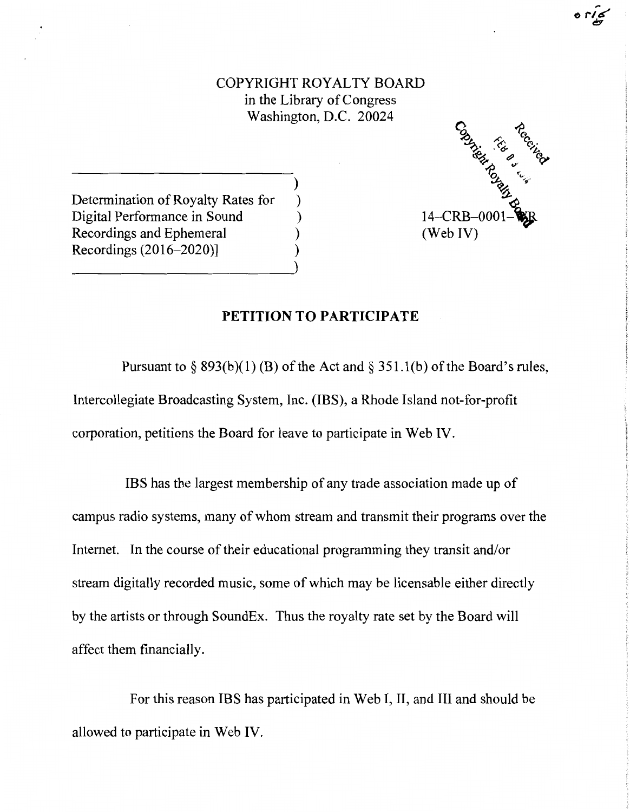COPYRIGHT ROYALTY BOARD in the Library of Congress Washington, D.C. 20024

)



Determination of Royalty Rates for ) Digital Performance in Sound ) Recordings and Ephemeral ) Recordings (2016-2020)] )

## **PETITION TO PARTICIPATE**

Pursuant to § 893(b)(1) (B) of the Act and § 351.1(b) of the Board's rules, Intercollegiate Broadcasting System, Inc. (IBS), a Rhode Island not-for-profit corporation, petitions the Board for leave to participate in Web IV.

IBS has the largest membership of any trade association made up of campus radio systems, many of whom stream and transmit their programs over the Internet. In the course of their educational programming they transit and/or stream digitally recorded music, some of which may be licensable either directly by the artists or through SoundEx. Thus the royalty rate set by the Board will affect them financially.

For this reason IBS has participated in Web I, II, and III and should be allowed to participate in Web IV.

 $\frac{1}{2}$